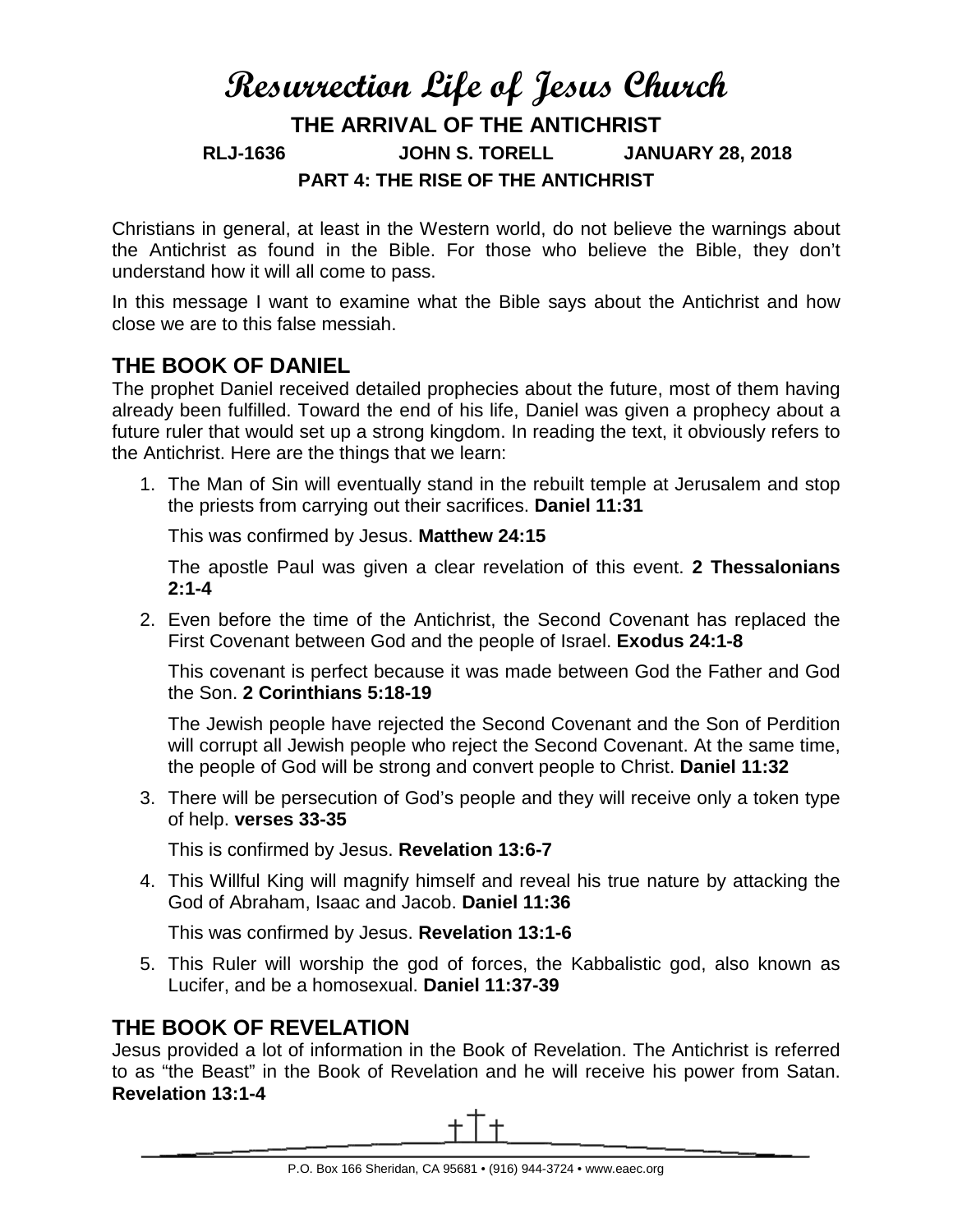# **Resurrection Life of Jesus Church THE ARRIVAL OF THE ANTICHRIST RLJ-1636 JOHN S. TORELL JANUARY 28, 2018 PART 4: THE RISE OF THE ANTICHRIST**

Christians in general, at least in the Western world, do not believe the warnings about the Antichrist as found in the Bible. For those who believe the Bible, they don't understand how it will all come to pass.

In this message I want to examine what the Bible says about the Antichrist and how close we are to this false messiah.

# **THE BOOK OF DANIEL**

The prophet Daniel received detailed prophecies about the future, most of them having already been fulfilled. Toward the end of his life, Daniel was given a prophecy about a future ruler that would set up a strong kingdom. In reading the text, it obviously refers to the Antichrist. Here are the things that we learn:

1. The Man of Sin will eventually stand in the rebuilt temple at Jerusalem and stop the priests from carrying out their sacrifices. **Daniel 11:31**

This was confirmed by Jesus. **Matthew 24:15**

The apostle Paul was given a clear revelation of this event. **2 Thessalonians 2:1-4**

2. Even before the time of the Antichrist, the Second Covenant has replaced the First Covenant between God and the people of Israel. **Exodus 24:1-8**

This covenant is perfect because it was made between God the Father and God the Son. **2 Corinthians 5:18-19**

The Jewish people have rejected the Second Covenant and the Son of Perdition will corrupt all Jewish people who reject the Second Covenant. At the same time, the people of God will be strong and convert people to Christ. **Daniel 11:32**

3. There will be persecution of God's people and they will receive only a token type of help. **verses 33-35**

This is confirmed by Jesus. **Revelation 13:6-7**

4. This Willful King will magnify himself and reveal his true nature by attacking the God of Abraham, Isaac and Jacob. **Daniel 11:36**

This was confirmed by Jesus. **Revelation 13:1-6**

5. This Ruler will worship the god of forces, the Kabbalistic god, also known as Lucifer, and be a homosexual. **Daniel 11:37-39**

# **THE BOOK OF REVELATION**

Jesus provided a lot of information in the Book of Revelation. The Antichrist is referred to as "the Beast" in the Book of Revelation and he will receive his power from Satan. **Revelation 13:1-4**

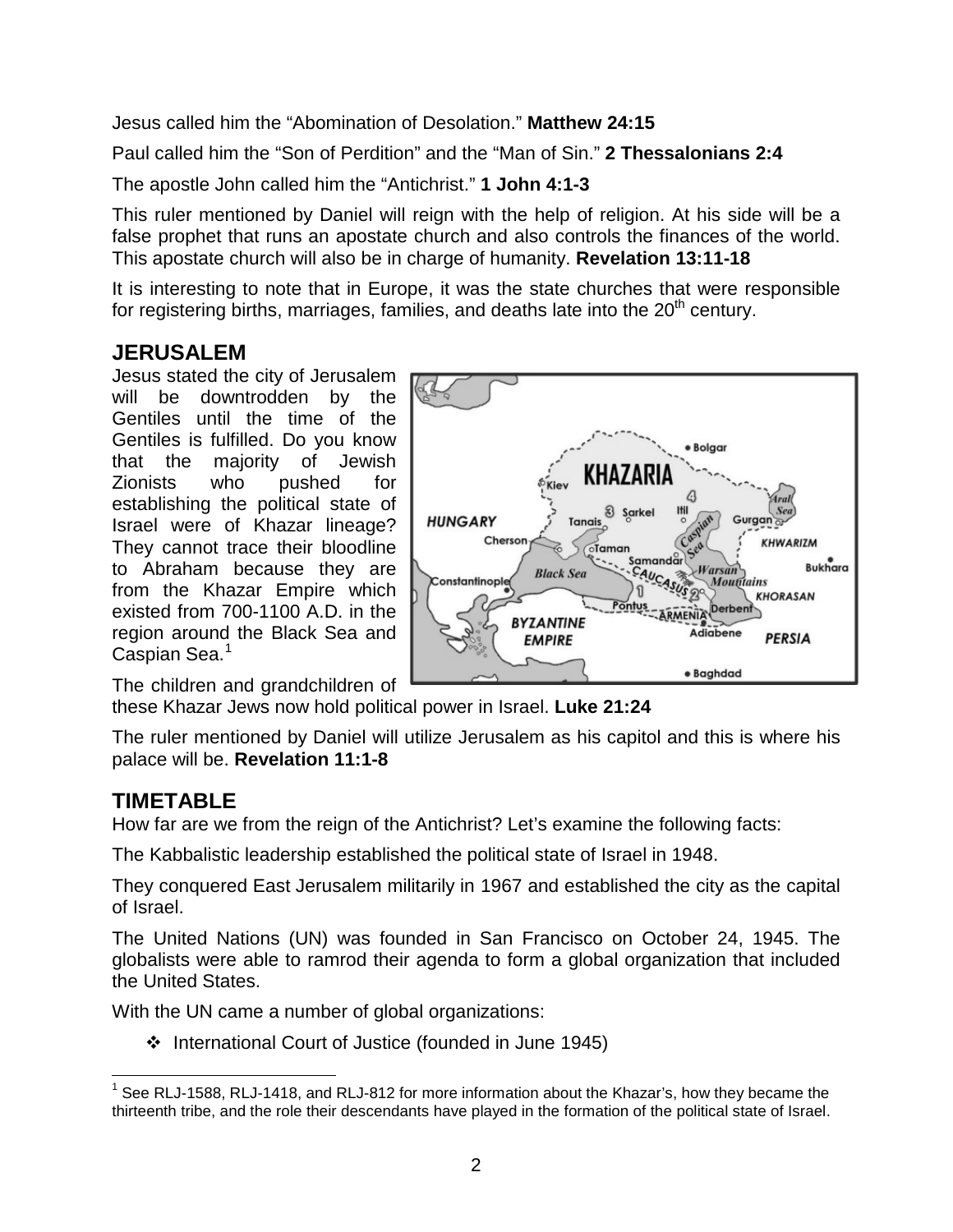Jesus called him the "Abomination of Desolation." **Matthew 24:15**

Paul called him the "Son of Perdition" and the "Man of Sin." **2 Thessalonians 2:4**

The apostle John called him the "Antichrist." **1 John 4:1-3**

This ruler mentioned by Daniel will reign with the help of religion. At his side will be a false prophet that runs an apostate church and also controls the finances of the world. This apostate church will also be in charge of humanity. **Revelation 13:11-18**

It is interesting to note that in Europe, it was the state churches that were responsible for registering births, marriages, families, and deaths late into the  $20<sup>th</sup>$  century.

**HUNGARY** 

Constantinople

Chersor

**Bolgar** 

 $\nu$ Warsan

Adiabene

· Baghdad

MENIA

**Mountains** 

Derbent

**KHWARIZM** 

**KHORASAN** 

**PERSIA** 

**Bukhara** 

KHAZARI

oTaman

Tanais

**Black Sea** 

**BYZANTINE** 

**EMPIRE** 

Sarkel

**Samandar** 

Samanad<br>CAUCAS

ป

### **JERUSALEM**

Jesus stated the city of Jerusalem will be downtrodden by the Gentiles until the time of the Gentiles is fulfilled. Do you know that the majority of Jewish Zionists who pushed for establishing the political state of Israel were of Khazar lineage? They cannot trace their bloodline to Abraham because they are from the Khazar Empire which existed from 700-1100 A.D. in the region around the Black Sea and Caspian Sea.<sup>[1](#page-1-0)</sup>





The ruler mentioned by Daniel will utilize Jerusalem as his capitol and this is where his palace will be. **Revelation 11:1-8**

#### **TIMETABLE**

How far are we from the reign of the Antichrist? Let's examine the following facts:

The Kabbalistic leadership established the political state of Israel in 1948.

They conquered East Jerusalem militarily in 1967 and established the city as the capital of Israel.

The United Nations (UN) was founded in San Francisco on October 24, 1945. The globalists were able to ramrod their agenda to form a global organization that included the United States.

With the UN came a number of global organizations:

❖ International Court of Justice (founded in June 1945)

<span id="page-1-0"></span> $1$  See RLJ-1588, RLJ-1418, and RLJ-812 for more information about the Khazar's, how they became the thirteenth tribe, and the role their descendants have played in the formation of the political state of Israel.